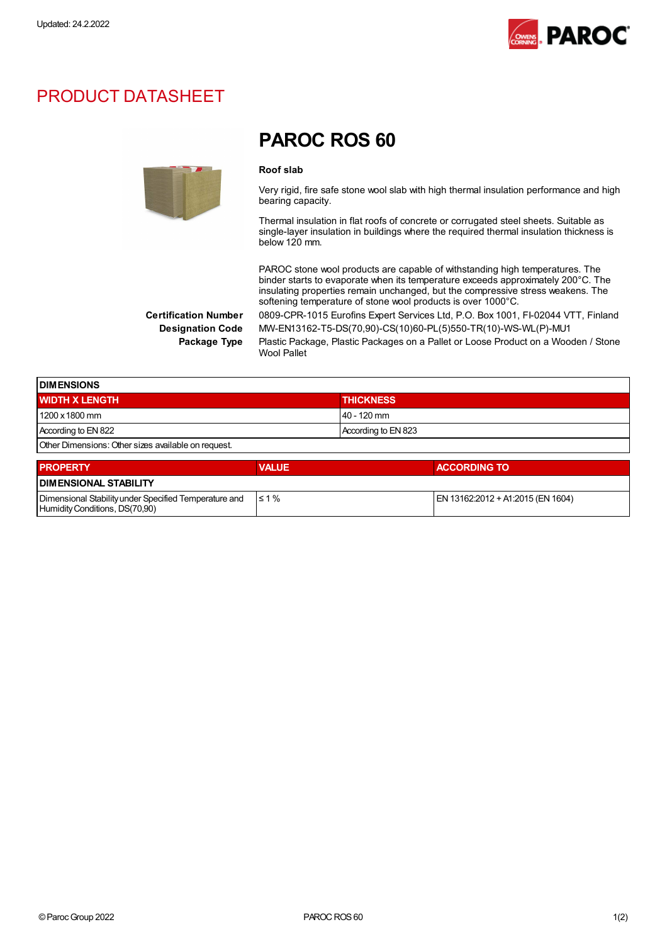

## PRODUCT DATASHEET



## PAROC ROS 60

## Roof slab

Very rigid, fire safe stone wool slab with high thermal insulation performance and high bearing capacity.

Thermal insulation in flat roofs of concrete or corrugated steel sheets. Suitable as single-layer insulation in buildings where the required thermal insulation thickness is below 120 mm.

PAROC stone wool products are capable of withstanding high temperatures. The binder starts to evaporate when its temperature exceeds approximately 200°C. The insulating properties remain unchanged, but the compressive stress weakens. The softening temperature of stone wool products is over 1000°C.

Certification Number 0809-CPR-1015 Eurofins Expert Services Ltd, P.O. Box 1001, FI-02044 VTT, Finland Designation Code MW-EN13162-T5-DS(70,90)-CS(10)60-PL(5)550-TR(10)-WS-WL(P)-MU1

Package Type Plastic Package, Plastic Packages on a Pallet or Loose Product on a Wooden / Stone Wool Pallet

| <b>DIMENSIONS</b>                                   |                     |  |
|-----------------------------------------------------|---------------------|--|
| <b>WIDTH X LENGTH</b>                               | <b>THICKNESS</b>    |  |
| 1200 x 1800 mm                                      | $140 - 120$ mm      |  |
| According to EN 822                                 | According to EN 823 |  |
| Other Dimensions: Other sizes available on request. |                     |  |

| <b>PROPERTY</b>                                                                         | <b>VALUE</b> | <b>ACCORDING TO</b>               |  |  |
|-----------------------------------------------------------------------------------------|--------------|-----------------------------------|--|--|
| <b>I DIMENSIONAL STABILITY</b>                                                          |              |                                   |  |  |
| Dimensional Stability under Specified Temperature and<br>Humidity Conditions, DS(70,90) | $\leq 1\%$   | EN 13162:2012 + A1:2015 (EN 1604) |  |  |